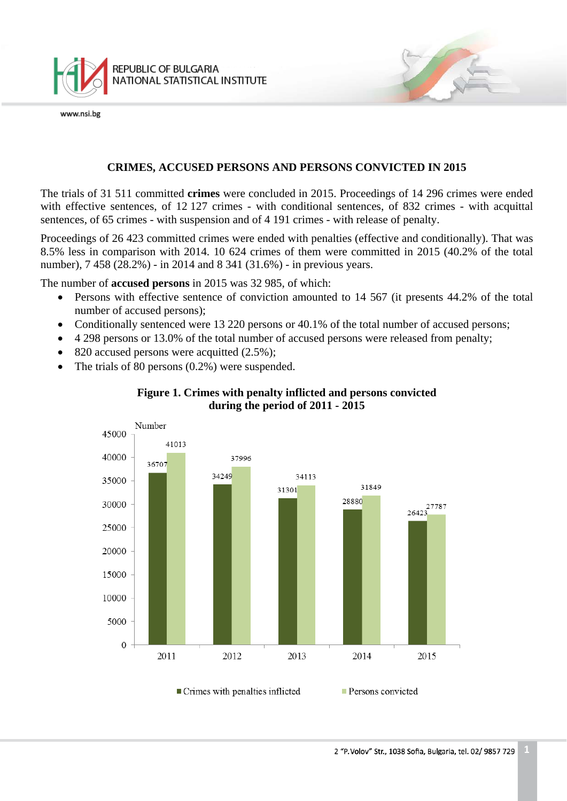

# **CRIMES, ACCUSED PERSONS AND PERSONS CONVICTED IN 2015**

The trials of 31 511 committed **crimes** were concluded in 2015. Proceedings of 14 296 crimes were ended with effective sentences, of 12 127 crimes - with conditional sentences, of 832 crimes - with acquittal sentences, of 65 crimes - with suspension and of 4 191 crimes - with release of penalty.

Proceedings of 26 423 committed crimes were ended with penalties (effective and conditionally). That was 8.5% less in comparison with 2014. 10 624 crimes of them were committed in 2015 (40.2% of the total number), 7 458 (28.2%) - in 2014 and 8 341 (31.6%) - in previous years.

The number of **accused persons** in 2015 was 32 985, of which:

- Persons with effective sentence of conviction amounted to 14 567 (it presents 44.2% of the total number of accused persons);
- Conditionally sentenced were 13 220 persons or 40.1% of the total number of accused persons;
- 4 298 persons or 13.0% of the total number of accused persons were released from penalty;
- 820 accused persons were acquitted (2.5%);
- The trials of 80 persons (0.2%) were suspended.

<span id="page-0-0"></span>

## **Figure 1. Crimes with penalty inflicted and persons convicted during the period of 2011 - 2015**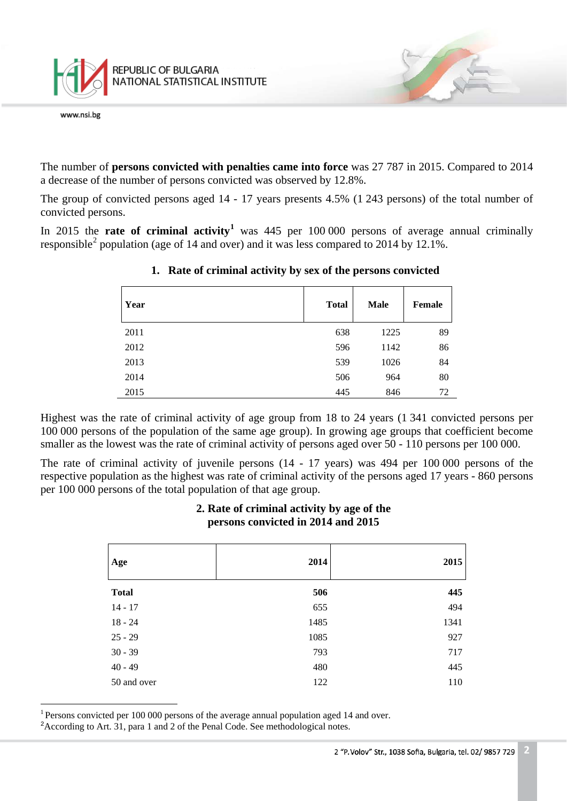

The number of **persons convicted with penalties came into force** was 27 787 in 2015. Compared to 2014 a decrease of the number of persons convicted was observed by 12.8%.

The group of convicted persons aged 14 - 17 years presents 4.5% (1 243 persons) of the total number of convicted persons.

In 2015 the **rate of criminal activity[1](#page-0-0)** was 445 per 100 000 persons of average annual criminally responsible<sup>[2](#page-1-0)</sup> population (age of 14 and over) and it was less compared to 2014 by 12.1%.

| Year | <b>Total</b> | <b>Male</b> | <b>Female</b> |
|------|--------------|-------------|---------------|
| 2011 | 638          | 1225        | 89            |
| 2012 | 596          | 1142        | 86            |
| 2013 | 539          | 1026        | 84            |
| 2014 | 506          | 964         | 80            |
| 2015 | 445          | 846         | 72            |

#### **1. Rate of criminal activity by sex of the persons convicted**

Highest was the rate of criminal activity of age group from 18 to 24 years (1 341 convicted persons per 100 000 persons of the population of the same age group). In growing age groups that coefficient become smaller as the lowest was the rate of criminal activity of persons aged over 50 - 110 persons per 100 000.

The rate of criminal activity of juvenile persons (14 - 17 years) was 494 per 100 000 persons of the respective population as the highest was rate of criminal activity of the persons aged 17 years - 860 persons per 100 000 persons of the total population of that age group.

# **2. Rate of criminal activity by age of the persons convicted in 2014 and 2015**

| Age          | 2014 | 2015 |
|--------------|------|------|
| <b>Total</b> | 506  | 445  |
| $14 - 17$    | 655  | 494  |
| $18 - 24$    | 1485 | 1341 |
| $25 - 29$    | 1085 | 927  |
| $30 - 39$    | 793  | 717  |
| $40 - 49$    | 480  | 445  |
| 50 and over  | 122  | 110  |

 $\frac{1}{\sqrt{2}}$  $1$  Persons convicted per 100 000 persons of the average annual population aged 14 and over.

<span id="page-1-0"></span><sup>&</sup>lt;sup>2</sup> According to Art. 31, para 1 and 2 of the Penal Code. See methodological notes.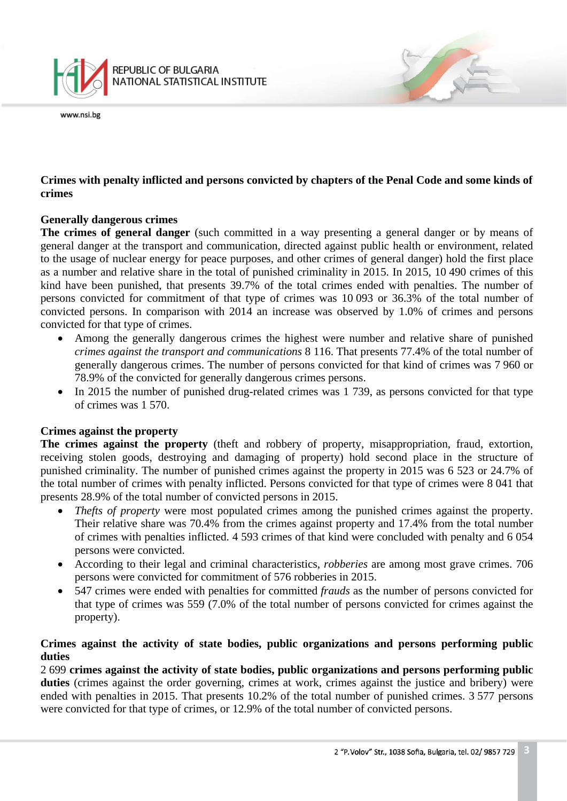

# **Crimes with penalty inflicted and persons convicted by chapters of the Penal Code and some kinds of crimes**

# **Generally dangerous crimes**

**The crimes of general danger** (such committed in a way presenting a general danger or by means of general danger at the transport and communication, directed against public health or environment, related to the usage of nuclear energy for peace purposes, and other crimes of general danger) hold the first place as a number and relative share in the total of punished criminality in 2015. In 2015, 10 490 crimes of this kind have been punished, that presents 39.7% of the total crimes ended with penalties. The number of persons convicted for commitment of that type of crimes was 10 093 or 36.3% of the total number of convicted persons. In comparison with 2014 an increase was observed by 1.0% of crimes and persons convicted for that type of crimes.

- Among the generally dangerous crimes the highest were number and relative share of punished *crimes against the transport and communications* 8 116. That presents 77.4% of the total number of generally dangerous crimes. The number of persons convicted for that kind of crimes was 7 960 or 78.9% of the convicted for generally dangerous crimes persons.
- In 2015 the number of punished drug-related crimes was 1 739, as persons convicted for that type of crimes was 1 570.

# **Crimes against the property**

**The crimes against the property** (theft and robbery of property, misappropriation, fraud, extortion, receiving stolen goods, destroying and damaging of property) hold second place in the structure of punished criminality. The number of punished crimes against the property in 2015 was 6 523 or 24.7% of the total number of crimes with penalty inflicted. Persons convicted for that type of crimes were 8 041 that presents 28.9% of the total number of convicted persons in 2015.

- *Thefts of property* were most populated crimes among the punished crimes against the property. Their relative share was 70.4% from the crimes against property and 17.4% from the total number of crimes with penalties inflicted. 4 593 crimes of that kind were concluded with penalty and 6 054 persons were convicted.
- According to their legal and criminal characteristics, *robberies* are among most grave crimes. 706 persons were convicted for commitment of 576 robberies in 2015.
- 547 crimes were ended with penalties for committed *frauds* as the number of persons convicted for that type of crimes was 559 (7.0% of the total number of persons convicted for crimes against the property).

# **Crimes against the activity of state bodies, public organizations and persons performing public duties**

2 699 **crimes against the activity of state bodies, public organizations and persons performing public**  duties (crimes against the order governing, crimes at work, crimes against the justice and bribery) were ended with penalties in 2015. That presents 10.2% of the total number of punished crimes. 3 577 persons were convicted for that type of crimes, or 12.9% of the total number of convicted persons.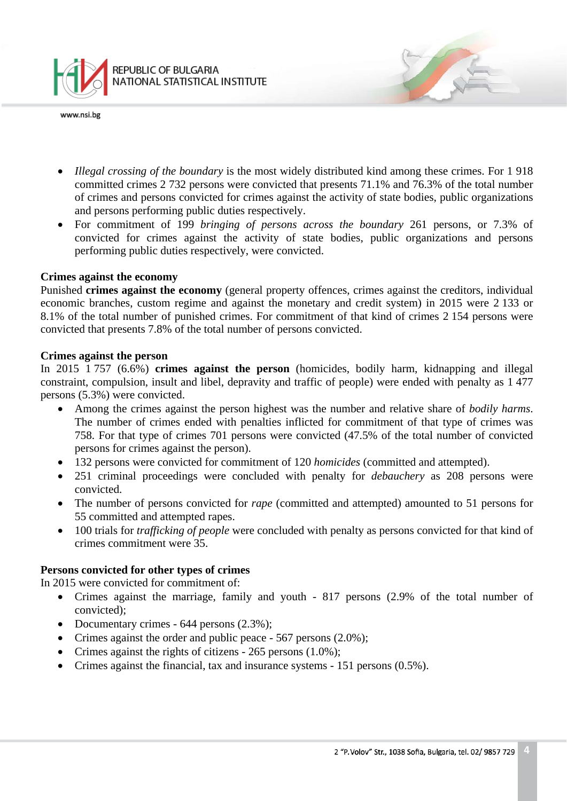

- *Illegal crossing of the boundary* is the most widely distributed kind among these crimes. For 1 918 committed crimes 2 732 persons were convicted that presents 71.1% and 76.3% of the total number of crimes and persons convicted for crimes against the activity of state bodies, public organizations and persons performing public duties respectively.
- For commitment of 199 *bringing of persons across the boundary* 261 persons, or 7.3% of convicted for crimes against the activity of state bodies, public organizations and persons performing public duties respectively, were convicted.

#### **Crimes against the economy**

Punished **crimes against the economy** (general property offences, crimes against the creditors, individual economic branches, custom regime and against the monetary and credit system) in 2015 were 2 133 or 8.1% of the total number of punished crimes. For commitment of that kind of crimes 2 154 persons were convicted that presents 7.8% of the total number of persons convicted.

#### **Crimes against the person**

In 2015 1 757 (6.6%) **crimes against the person** (homicides, bodily harm, kidnapping and illegal constraint, compulsion, insult and libel, depravity and traffic of people) were ended with penalty as 1 477 persons (5.3%) were convicted.

- Among the crimes against the person highest was the number and relative share of *bodily harms*. The number of crimes ended with penalties inflicted for commitment of that type of crimes was 758. For that type of crimes 701 persons were convicted (47.5% of the total number of convicted persons for crimes against the person).
- 132 persons were convicted for commitment of 120 *homicides* (committed and attempted).
- 251 criminal proceedings were concluded with penalty for *debauchery* as 208 persons were convicted.
- The number of persons convicted for *rape* (committed and attempted) amounted to 51 persons for 55 committed and attempted rapes.
- 100 trials for *trafficking of people* were concluded with penalty as persons convicted for that kind of crimes commitment were 35.

# **Persons convicted for other types of crimes**

In 2015 were convicted for commitment of:

- Crimes against the marriage, family and youth 817 persons (2.9% of the total number of convicted);
- Documentary crimes 644 persons (2.3%);
- Crimes against the order and public peace 567 persons (2.0%);
- Crimes against the rights of citizens  $-265$  persons  $(1.0\%)$ ;
- Crimes against the financial, tax and insurance systems 151 persons (0.5%).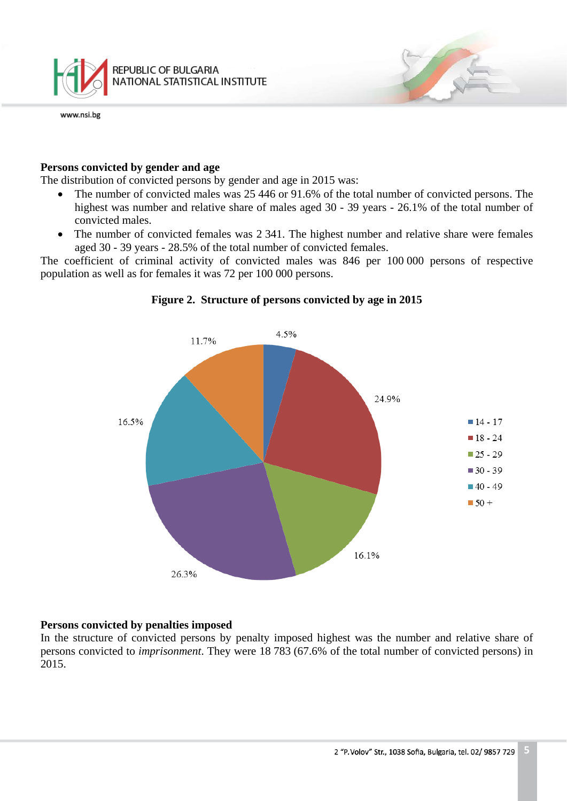

#### **Persons convicted by gender and age**

The distribution of convicted persons by gender and age in 2015 was:

- The number of convicted males was 25 446 or 91.6% of the total number of convicted persons. The highest was number and relative share of males aged 30 - 39 years - 26.1% of the total number of convicted males.
- The number of convicted females was 2 341. The highest number and relative share were females aged 30 - 39 years - 28.5% of the total number of convicted females.

The coefficient of criminal activity of convicted males was 846 per 100 000 persons of respective population as well as for females it was 72 per 100 000 persons.



#### **Figure 2. Structure of persons convicted by age in 2015**

#### **Persons convicted by penalties imposed**

In the structure of convicted persons by penalty imposed highest was the number and relative share of persons convicted to *imprisonment*. They were 18 783 (67.6% of the total number of convicted persons) in 2015.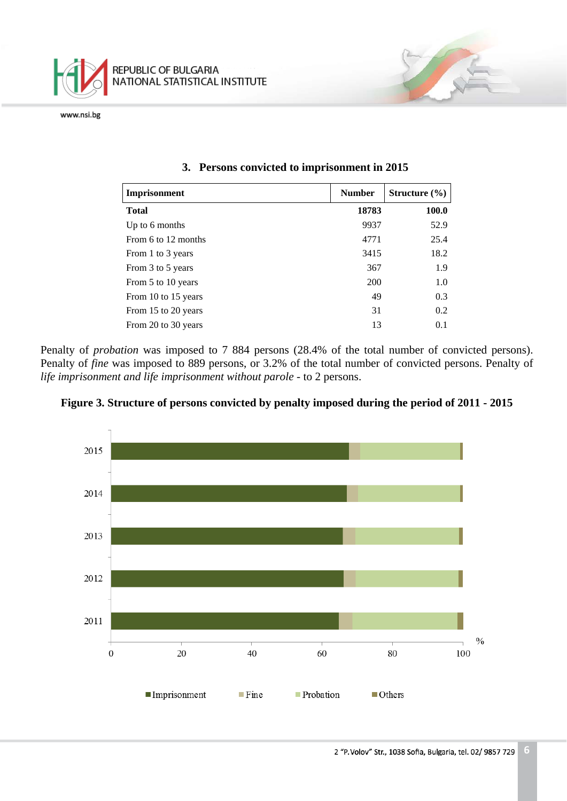

| Imprisonment        | <b>Number</b> | Structure $(\% )$ |
|---------------------|---------------|-------------------|
| <b>Total</b>        | 18783         | <b>100.0</b>      |
| Up to 6 months      | 9937          | 52.9              |
| From 6 to 12 months | 4771          | 25.4              |
| From 1 to 3 years   | 3415          | 18.2              |
| From 3 to 5 years   | 367           | 1.9               |
| From 5 to 10 years  | 200           | 1.0               |
| From 10 to 15 years | 49            | 0.3               |
| From 15 to 20 years | 31            | 0.2               |
| From 20 to 30 years | 13            | 0.1               |

#### **3. Persons convicted to imprisonment in 2015**

Penalty of *probation* was imposed to 7 884 persons (28.4% of the total number of convicted persons). Penalty of *fine* was imposed to 889 persons, or 3.2% of the total number of convicted persons. Penalty of *life imprisonment and life imprisonment without parole* - to 2 persons.



**Figure 3. Structure of persons convicted by penalty imposed during the period of 2011 - 2015**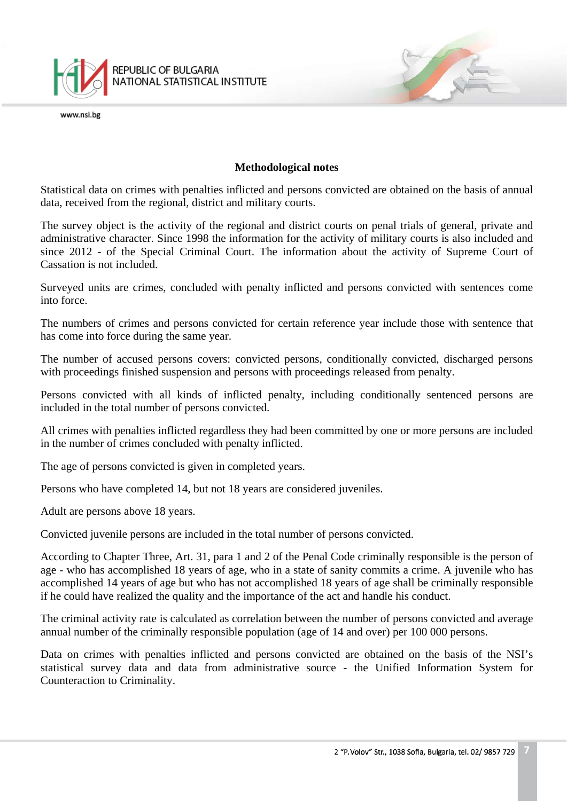

#### **Methodological notes**

Statistical data on crimes with penalties inflicted and persons convicted are obtained on the basis of annual data, received from the regional, district and military courts.

The survey object is the activity of the regional and district courts on penal trials of general, private and administrative character. Since 1998 the information for the activity of military courts is also included and since 2012 - of the Special Criminal Court. The information about the activity of Supreme Court of Cassation is not included.

Surveyed units are crimes, concluded with penalty inflicted and persons convicted with sentences come into force.

The numbers of crimes and persons convicted for certain reference year include those with sentence that has come into force during the same year.

The number of accused persons covers: convicted persons, conditionally convicted, discharged persons with proceedings finished suspension and persons with proceedings released from penalty.

Persons convicted with all kinds of inflicted penalty, including conditionally sentenced persons are included in the total number of persons convicted.

All crimes with penalties inflicted regardless they had been committed by one or more persons are included in the number of crimes concluded with penalty inflicted.

The age of persons convicted is given in completed years.

Persons who have completed 14, but not 18 years are considered juveniles.

Adult are persons above 18 years.

Convicted juvenile persons are included in the total number of persons convicted.

According to Chapter Three, Art. 31, para 1 and 2 of the Penal Code criminally responsible is the person of age - who has accomplished 18 years of age, who in a state of sanity commits a crime. A juvenile who has accomplished 14 years of age but who has not accomplished 18 years of age shall be criminally responsible if he could have realized the quality and the importance of the act and handle his conduct.

The criminal activity rate is calculated as correlation between the number of persons convicted and average annual number of the criminally responsible population (age of 14 and over) per 100 000 persons.

Data on crimes with penalties inflicted and persons convicted are obtained on the basis of the NSI's statistical survey data and data from administrative source - the Unified Information System for Counteraction to Criminality.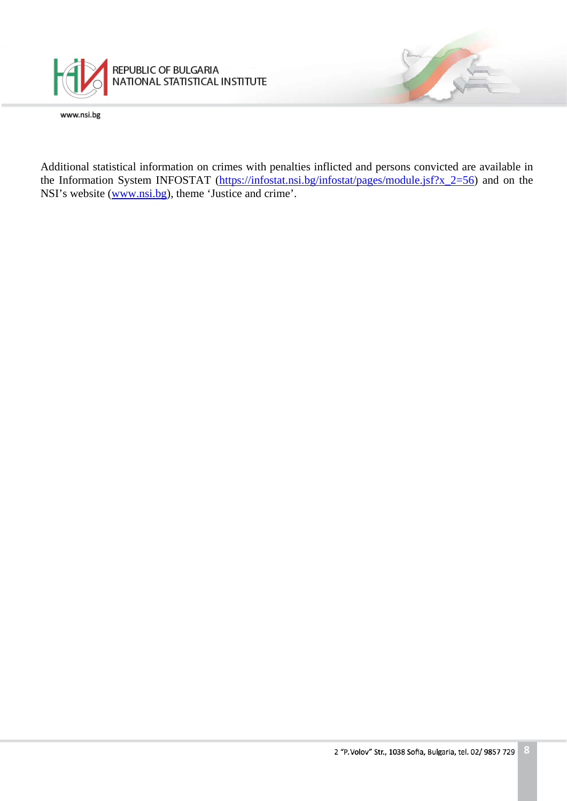

Additional statistical information on crimes with penalties inflicted and persons convicted are available in the Information System INFOSTAT [\(https://infostat.nsi.bg/infostat/pages/module.jsf?x\\_2=56\)](https://infostat.nsi.bg/infostat/pages/module.jsf?x_2=56) and on the NSI's website [\(www.nsi.bg\)](http://www.nsi.bg/), theme 'Justice and crime'.

7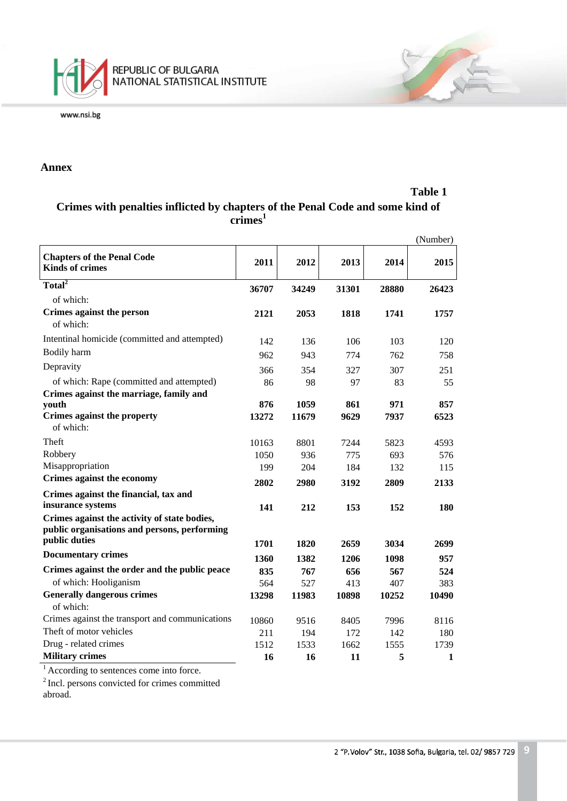

#### **Annex**

#### **Table 1**

# **Crimes with penalties inflicted by chapters of the Penal Code and some kind of crimes<sup>1</sup>**

|                                                                                              |       |       |       |       | (Number) |
|----------------------------------------------------------------------------------------------|-------|-------|-------|-------|----------|
| <b>Chapters of the Penal Code</b><br><b>Kinds of crimes</b>                                  | 2011  | 2012  | 2013  | 2014  | 2015     |
| Total <sup>2</sup>                                                                           | 36707 | 34249 | 31301 | 28880 | 26423    |
| of which:                                                                                    |       |       |       |       |          |
| Crimes against the person<br>of which:                                                       | 2121  | 2053  | 1818  | 1741  | 1757     |
| Intentinal homicide (committed and attempted)                                                | 142   | 136   | 106   | 103   | 120      |
| Bodily harm                                                                                  | 962   | 943   | 774   | 762   | 758      |
| Depravity                                                                                    | 366   | 354   | 327   | 307   | 251      |
| of which: Rape (committed and attempted)<br>Crimes against the marriage, family and          | 86    | 98    | 97    | 83    | 55       |
| youth                                                                                        | 876   | 1059  | 861   | 971   | 857      |
| <b>Crimes against the property</b><br>of which:                                              | 13272 | 11679 | 9629  | 7937  | 6523     |
| Theft                                                                                        | 10163 | 8801  | 7244  | 5823  | 4593     |
| Robbery                                                                                      | 1050  | 936   | 775   | 693   | 576      |
| Misappropriation                                                                             | 199   | 204   | 184   | 132   | 115      |
| Crimes against the economy                                                                   | 2802  | 2980  | 3192  | 2809  | 2133     |
| Crimes against the financial, tax and                                                        |       |       |       |       |          |
| insurance systems                                                                            | 141   | 212   | 153   | 152   | 180      |
| Crimes against the activity of state bodies,<br>public organisations and persons, performing |       |       |       |       |          |
| public duties                                                                                | 1701  | 1820  | 2659  | 3034  | 2699     |
| <b>Documentary crimes</b>                                                                    | 1360  | 1382  | 1206  | 1098  | 957      |
| Crimes against the order and the public peace                                                | 835   | 767   | 656   | 567   | 524      |
| of which: Hooliganism                                                                        | 564   | 527   | 413   | 407   | 383      |
| <b>Generally dangerous crimes</b><br>of which:                                               | 13298 | 11983 | 10898 | 10252 | 10490    |
| Crimes against the transport and communications                                              | 10860 | 9516  | 8405  | 7996  | 8116     |
| Theft of motor vehicles                                                                      | 211   | 194   | 172   | 142   | 180      |
| Drug - related crimes                                                                        | 1512  | 1533  | 1662  | 1555  | 1739     |
| <b>Military crimes</b>                                                                       | 16    | 16    | 11    | 5     | 1        |

<sup>1</sup> According to sentences come into force.

<sup>2</sup> Incl. persons convicted for crimes committed abroad.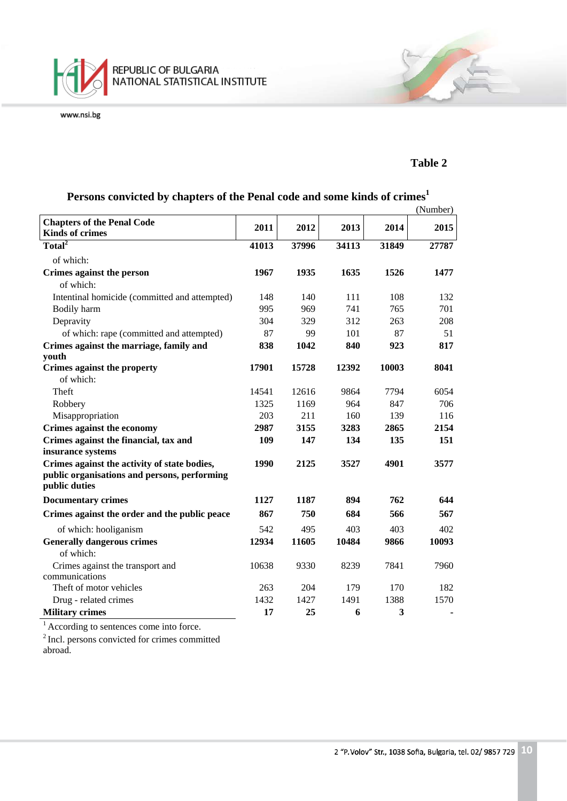

#### **Table 2**

|                                                                                                               |       |       |       |       | (Number) |
|---------------------------------------------------------------------------------------------------------------|-------|-------|-------|-------|----------|
| <b>Chapters of the Penal Code</b>                                                                             | 2011  | 2012  | 2013  | 2014  | 2015     |
| <b>Kinds of crimes</b>                                                                                        |       |       |       |       |          |
| Total <sup>2</sup>                                                                                            | 41013 | 37996 | 34113 | 31849 | 27787    |
| of which:                                                                                                     |       |       |       |       |          |
| Crimes against the person                                                                                     | 1967  | 1935  | 1635  | 1526  | 1477     |
| of which:                                                                                                     |       |       |       |       |          |
| Intentinal homicide (committed and attempted)                                                                 | 148   | 140   | 111   | 108   | 132      |
| Bodily harm                                                                                                   | 995   | 969   | 741   | 765   | 701      |
| Depravity                                                                                                     | 304   | 329   | 312   | 263   | 208      |
| of which: rape (committed and attempted)                                                                      | 87    | 99    | 101   | 87    | 51       |
| Crimes against the marriage, family and                                                                       | 838   | 1042  | 840   | 923   | 817      |
| youth                                                                                                         |       |       |       |       |          |
| Crimes against the property                                                                                   | 17901 | 15728 | 12392 | 10003 | 8041     |
| of which:                                                                                                     |       |       |       |       |          |
| Theft                                                                                                         | 14541 | 12616 | 9864  | 7794  | 6054     |
| Robbery                                                                                                       | 1325  | 1169  | 964   | 847   | 706      |
| Misappropriation                                                                                              | 203   | 211   | 160   | 139   | 116      |
| Crimes against the economy                                                                                    | 2987  | 3155  | 3283  | 2865  | 2154     |
| Crimes against the financial, tax and<br>insurance systems                                                    | 109   | 147   | 134   | 135   | 151      |
| Crimes against the activity of state bodies,<br>public organisations and persons, performing<br>public duties | 1990  | 2125  | 3527  | 4901  | 3577     |
| <b>Documentary crimes</b>                                                                                     | 1127  | 1187  | 894   | 762   | 644      |
| Crimes against the order and the public peace                                                                 | 867   | 750   | 684   | 566   | 567      |
| of which: hooliganism                                                                                         | 542   | 495   | 403   | 403   | 402      |
| <b>Generally dangerous crimes</b>                                                                             | 12934 | 11605 | 10484 | 9866  | 10093    |
| of which:                                                                                                     |       |       |       |       |          |
| Crimes against the transport and                                                                              | 10638 | 9330  | 8239  | 7841  | 7960     |
| communications                                                                                                |       |       |       |       |          |
| Theft of motor vehicles                                                                                       | 263   | 204   | 179   | 170   | 182      |
| Drug - related crimes                                                                                         | 1432  | 1427  | 1491  | 1388  | 1570     |
| <b>Military crimes</b>                                                                                        | 17    | 25    | 6     | 3     |          |

# **Persons convicted by chapters of the Penal code and some kinds of crimes<sup>1</sup>**

<sup>1</sup> According to sentences come into force.

<sup>2</sup> Incl. persons convicted for crimes committed abroad.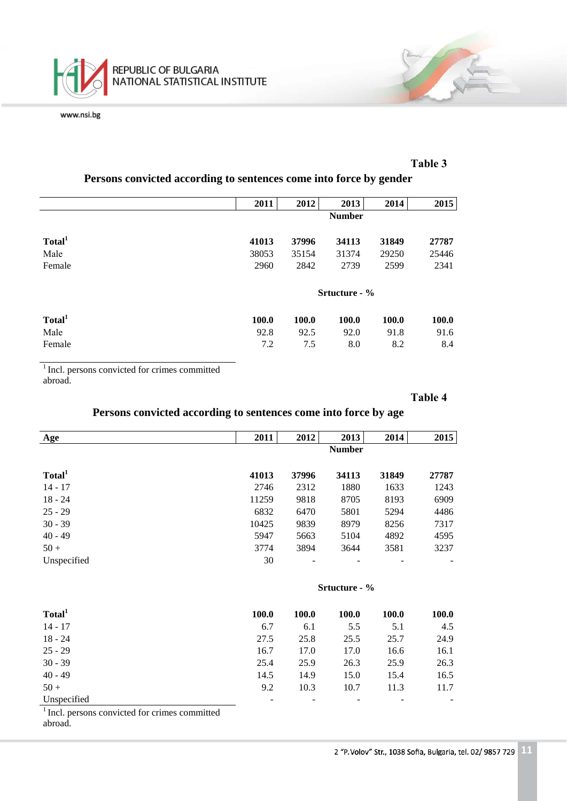

#### **Таble 3**

|                    | 2011          | 2012  | 2013          | 2014  | 2015  |
|--------------------|---------------|-------|---------------|-------|-------|
|                    | <b>Number</b> |       |               |       |       |
| Total <sup>1</sup> | 41013         | 37996 | 34113         | 31849 | 27787 |
| Male               | 38053         | 35154 | 31374         | 29250 | 25446 |
| Female             | 2960          | 2842  | 2739          | 2599  | 2341  |
|                    |               |       | Srtucture - % |       |       |
| Total <sup>1</sup> | 100.0         | 100.0 | 100.0         | 100.0 | 100.0 |
| Male               | 92.8          | 92.5  | 92.0          | 91.8  | 91.6  |
| Female             | 7.2           | 7.5   | 8.0           | 8.2   | 8.4   |

#### **Persons convicted according to sentences come into force by gender**

<sup>1</sup> Incl. persons convicted for crimes committed abroad.

#### **Таble 4**

# **Persons convicted according to sentences come into force by age**

| Age                | 2011  | 2012          | 2013          | 2014  | 2015  |  |
|--------------------|-------|---------------|---------------|-------|-------|--|
|                    |       | <b>Number</b> |               |       |       |  |
| Total <sup>1</sup> | 41013 | 37996         | 34113         | 31849 | 27787 |  |
| $14 - 17$          | 2746  | 2312          | 1880          | 1633  | 1243  |  |
| $18 - 24$          | 11259 | 9818          | 8705          | 8193  | 6909  |  |
| $25 - 29$          | 6832  | 6470          | 5801          | 5294  | 4486  |  |
| $30 - 39$          | 10425 | 9839          | 8979          | 8256  | 7317  |  |
| $40 - 49$          | 5947  | 5663          | 5104          | 4892  | 4595  |  |
| $50 +$             | 3774  | 3894          | 3644          | 3581  | 3237  |  |
| Unspecified        | 30    |               |               |       |       |  |
|                    |       |               | Srtucture - % |       |       |  |
| Total <sup>1</sup> | 100.0 | 100.0         | 100.0         | 100.0 | 100.0 |  |
| $14 - 17$          | 6.7   | 6.1           | 5.5           | 5.1   | 4.5   |  |

| Total <sup>1</sup> | 100.0 | 100.0 | 100.0 | 100.0 | 100.0 |
|--------------------|-------|-------|-------|-------|-------|
| $14 - 17$          | 6.7   | 6.1   | 5.5   | 5.1   | 4.5   |
| $18 - 24$          | 27.5  | 25.8  | 25.5  | 25.7  | 24.9  |
| 25 - 29            | 16.7  | 17.0  | 17.0  | 16.6  | 16.1  |
| $30 - 39$          | 25.4  | 25.9  | 26.3  | 25.9  | 26.3  |
| 40 - 49            | 14.5  | 14.9  | 15.0  | 15.4  | 16.5  |
| $50+$              | 9.2   | 10.3  | 10.7  | 11.3  | 11.7  |
| Unspecified        |       |       |       |       |       |

<sup>1</sup> Incl. persons convicted for crimes committed abroad.